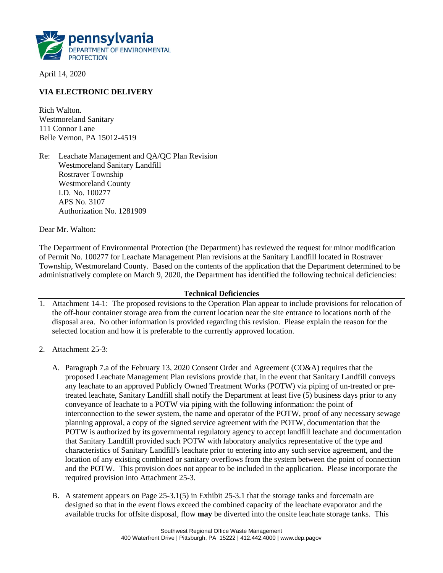

April 14, 2020

### **VIA ELECTRONIC DELIVERY**

Rich Walton. Westmoreland Sanitary 111 Connor Lane Belle Vernon, PA 15012-4519

Re: Leachate Management and QA/QC Plan Revision Westmoreland Sanitary Landfill Rostraver Township Westmoreland County I.D. No. 100277 APS No. 3107 Authorization No. 1281909

Dear Mr. Walton:

The Department of Environmental Protection (the Department) has reviewed the request for minor modification of Permit No. 100277 for Leachate Management Plan revisions at the Sanitary Landfill located in Rostraver Township, Westmoreland County. Based on the contents of the application that the Department determined to be administratively complete on March 9, 2020, the Department has identified the following technical deficiencies:

#### **Technical Deficiencies**

- 1. Attachment 14-1: The proposed revisions to the Operation Plan appear to include provisions for relocation of the off-hour container storage area from the current location near the site entrance to locations north of the disposal area. No other information is provided regarding this revision. Please explain the reason for the selected location and how it is preferable to the currently approved location.
- 2. Attachment 25-3:
	- A. Paragraph 7.a of the February 13, 2020 Consent Order and Agreement (CO&A) requires that the proposed Leachate Management Plan revisions provide that, in the event that Sanitary Landfill conveys any leachate to an approved Publicly Owned Treatment Works (POTW) via piping of un-treated or pretreated leachate, Sanitary Landfill shall notify the Department at least five (5) business days prior to any conveyance of leachate to a POTW via piping with the following information: the point of interconnection to the sewer system, the name and operator of the POTW, proof of any necessary sewage planning approval, a copy of the signed service agreement with the POTW, documentation that the POTW is authorized by its governmental regulatory agency to accept landfill leachate and documentation that Sanitary Landfill provided such POTW with laboratory analytics representative of the type and characteristics of Sanitary Landfill's leachate prior to entering into any such service agreement, and the location of any existing combined or sanitary overflows from the system between the point of connection and the POTW. This provision does not appear to be included in the application. Please incorporate the required provision into Attachment 25-3.
	- B. A statement appears on Page 25-3.1(5) in Exhibit 25-3.1 that the storage tanks and forcemain are designed so that in the event flows exceed the combined capacity of the leachate evaporator and the available trucks for offsite disposal, flow **may** be diverted into the onsite leachate storage tanks. This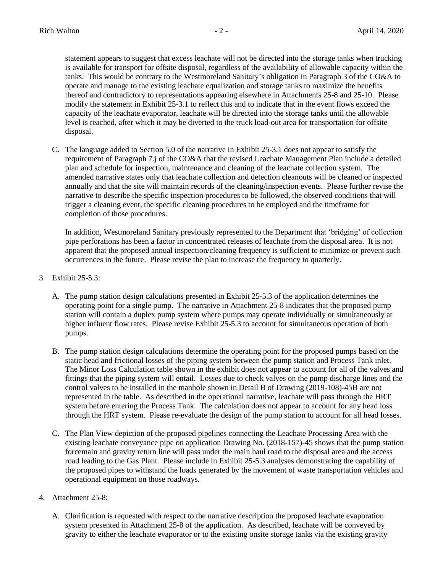statement appears to suggest that excess leachate will not be directed into the storage tanks when trucking is available for transport for offsite disposal, regardless of the availability of allowable capacity within the tanks. This would be contrary to the Westmoreland Sanitary's obligation in Paragraph 3 of the CO&A to operate and manage to the existing leachate equalization and storage tanks to maximize the benefits thereof and contradictory to representations appearing elsewhere in Attachments 25-8 and 25-10. Please modify the statement in Exhibit 25-3.1 to reflect this and to indicate that in the event flows exceed the capacity of the leachate evaporator, leachate will be directed into the storage tanks until the allowable level is reached, after which it may be diverted to the truck load-out area for transportation for offsite disposal.

C. The language added to Section 5.0 of the narrative in Exhibit 25-3.1 does not appear to satisfy the requirement of Paragraph 7.j of the CO&A that the revised Leachate Management Plan include a detailed plan and schedule for inspection, maintenance and cleaning of the leachate collection system. The amended narrative states only that leachate collection and detection cleanouts will be cleaned or inspected annually and that the site will maintain records of the cleaning/inspection events. Please further revise the narrative to describe the specific inspection procedures to be followed, the observed conditions that will trigger a cleaning event, the specific cleaning procedures to be employed and the timeframe for completion of those procedures.

In addition, Westmoreland Sanitary previously represented to the Department that 'bridging' of collection pipe perforations has been a factor in concentrated releases of leachate from the disposal area. It is not apparent that the proposed annual inspection/cleaning frequency is sufficient to minimize or prevent such occurrences in the future. Please revise the plan to increase the frequency to quarterly.

- 3. Exhibit 25-5.3:
	- A. The pump station design calculations presented in Exhibit 25-5.3 of the application determines the operating point for a single pump. The narrative in Attachment 25-8 indicates that the proposed pump station will contain a duplex pump system where pumps may operate individually or simultaneously at higher influent flow rates. Please revise Exhibit 25-5.3 to account for simultaneous operation of both pumps.
	- B. The pump station design calculations determine the operating point for the proposed pumps based on the static head and frictional losses of the piping system between the pump station and Process Tank inlet. The Minor Loss Calculation table shown in the exhibit does not appear to account for all of the valves and fittings that the piping system will entail. Losses due to check valves on the pump discharge lines and the control valves to be installed in the manhole shown in Detail B of Drawing (2019-108)-45B are not represented in the table. As described in the operational narrative, leachate will pass through the HRT system before entering the Process Tank. The calculation does not appear to account for any head loss through the HRT system. Please re-evaluate the design of the pump station to account for all head losses.
	- C. The Plan View depiction of the proposed pipelines connecting the Leachate Processing Area with the existing leachate conveyance pipe on application Drawing No. (2018-157)-45 shows that the pump station forcemain and gravity return line will pass under the main haul road to the disposal area and the access road leading to the Gas Plant. Please include in Exhibit 25-5.3 analyses demonstrating the capability of the proposed pipes to withstand the loads generated by the movement of waste transportation vehicles and operational equipment on those roadways.
- 4. Attachment 25-8:
	- A. Clarification is requested with respect to the narrative description the proposed leachate evaporation system presented in Attachment 25-8 of the application. As described, leachate will be conveyed by gravity to either the leachate evaporator or to the existing onsite storage tanks via the existing gravity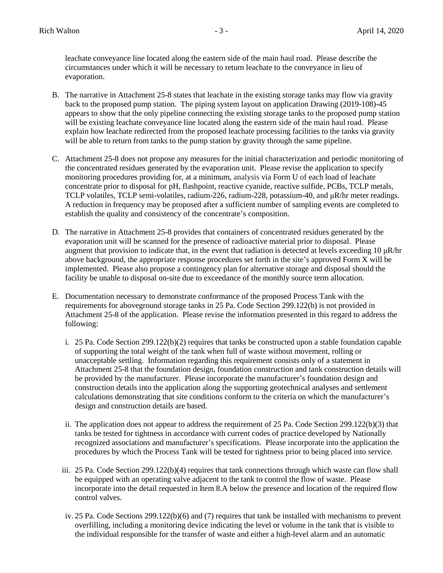leachate conveyance line located along the eastern side of the main haul road. Please describe the circumstances under which it will be necessary to return leachate to the conveyance in lieu of evaporation.

- B. The narrative in Attachment 25-8 states that leachate in the existing storage tanks may flow via gravity back to the proposed pump station. The piping system layout on application Drawing (2019-108)-45 appears to show that the only pipeline connecting the existing storage tanks to the proposed pump station will be existing leachate conveyance line located along the eastern side of the main haul road. Please explain how leachate redirected from the proposed leachate processing facilities to the tanks via gravity will be able to return from tanks to the pump station by gravity through the same pipeline.
- C. Attachment 25-8 does not propose any measures for the initial characterization and periodic monitoring of the concentrated residues generated by the evaporation unit. Please revise the application to specify monitoring procedures providing for, at a minimum, analysis via Form U of each load of leachate concentrate prior to disposal for pH, flashpoint, reactive cyanide, reactive sulfide, PCBs, TCLP metals, TCLP volatiles, TCLP semi-volatiles, radium-226, radium-228, potassium-40, and μR/hr meter readings. A reduction in frequency may be proposed after a sufficient number of sampling events are completed to establish the quality and consistency of the concentrate's composition.
- D. The narrative in Attachment 25-8 provides that containers of concentrated residues generated by the evaporation unit will be scanned for the presence of radioactive material prior to disposal. Please augment that provision to indicate that, in the event that radiation is detected at levels exceeding 10  $\mu$ R/hr above background, the appropriate response procedures set forth in the site's approved Form X will be implemented. Please also propose a contingency plan for alternative storage and disposal should the facility be unable to disposal on-site due to exceedance of the monthly source term allocation.
- E. Documentation necessary to demonstrate conformance of the proposed Process Tank with the requirements for aboveground storage tanks in 25 Pa. Code Section 299.122(b) is not provided in Attachment 25-8 of the application. Please revise the information presented in this regard to address the following:
	- i. 25 Pa. Code Section  $299.122(b)(2)$  requires that tanks be constructed upon a stable foundation capable of supporting the total weight of the tank when full of waste without movement, rolling or unacceptable settling. Information regarding this requirement consists only of a statement in Attachment 25-8 that the foundation design, foundation construction and tank construction details will be provided by the manufacturer. Please incorporate the manufacturer's foundation design and construction details into the application along the supporting geotechnical analyses and settlement calculations demonstrating that site conditions conform to the criteria on which the manufacturer's design and construction details are based.
	- ii. The application does not appear to address the requirement of 25 Pa. Code Section 299.122(b)(3) that tanks be tested for tightness in accordance with current codes of practice developed by Nationally recognized associations and manufacturer's specifications. Please incorporate into the application the procedures by which the Process Tank will be tested for tightness prior to being placed into service.
	- iii. 25 Pa. Code Section 299.122(b)(4) requires that tank connections through which waste can flow shall be equipped with an operating valve adjacent to the tank to control the flow of waste. Please incorporate into the detail requested in Item 8.A below the presence and location of the required flow control valves.
	- iv. 25 Pa. Code Sections 299.122(b)(6) and (7) requires that tank be installed with mechanisms to prevent overfilling, including a monitoring device indicating the level or volume in the tank that is visible to the individual responsible for the transfer of waste and either a high-level alarm and an automatic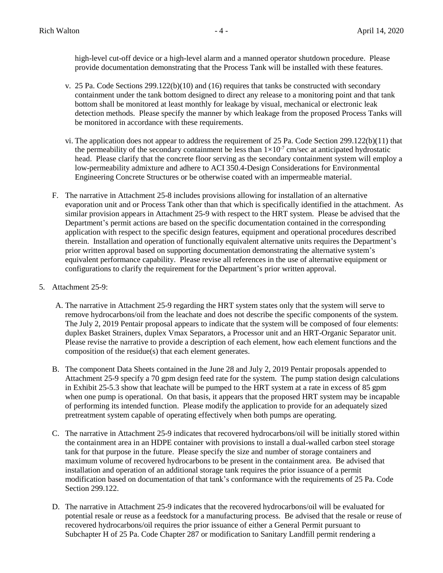high-level cut-off device or a high-level alarm and a manned operator shutdown procedure. Please provide documentation demonstrating that the Process Tank will be installed with these features.

- v. 25 Pa. Code Sections 299.122(b)(10) and (16) requires that tanks be constructed with secondary containment under the tank bottom designed to direct any release to a monitoring point and that tank bottom shall be monitored at least monthly for leakage by visual, mechanical or electronic leak detection methods. Please specify the manner by which leakage from the proposed Process Tanks will be monitored in accordance with these requirements.
- vi. The application does not appear to address the requirement of 25 Pa. Code Section 299.122(b)(11) that the permeability of the secondary containment be less than  $1 \times 10^{-7}$  cm/sec at anticipated hydrostatic head. Please clarify that the concrete floor serving as the secondary containment system will employ a low-permeability admixture and adhere to ACI 350.4-Design Considerations for Environmental Engineering Concrete Structures or be otherwise coated with an impermeable material.
- F. The narrative in Attachment 25-8 includes provisions allowing for installation of an alternative evaporation unit and or Process Tank other than that which is specifically identified in the attachment. As similar provision appears in Attachment 25-9 with respect to the HRT system. Please be advised that the Department's permit actions are based on the specific documentation contained in the corresponding application with respect to the specific design features, equipment and operational procedures described therein. Installation and operation of functionally equivalent alternative units requires the Department's prior written approval based on supporting documentation demonstrating the alternative system's equivalent performance capability. Please revise all references in the use of alternative equipment or configurations to clarify the requirement for the Department's prior written approval.
- 5. Attachment 25-9:
	- A. The narrative in Attachment 25-9 regarding the HRT system states only that the system will serve to remove hydrocarbons/oil from the leachate and does not describe the specific components of the system. The July 2, 2019 Pentair proposal appears to indicate that the system will be composed of four elements: duplex Basket Strainers, duplex Vmax Separators, a Processor unit and an HRT-Organic Separator unit. Please revise the narrative to provide a description of each element, how each element functions and the composition of the residue(s) that each element generates.
	- B. The component Data Sheets contained in the June 28 and July 2, 2019 Pentair proposals appended to Attachment 25-9 specify a 70 gpm design feed rate for the system. The pump station design calculations in Exhibit 25-5.3 show that leachate will be pumped to the HRT system at a rate in excess of 85 gpm when one pump is operational. On that basis, it appears that the proposed HRT system may be incapable of performing its intended function. Please modify the application to provide for an adequately sized pretreatment system capable of operating effectively when both pumps are operating.
	- C. The narrative in Attachment 25-9 indicates that recovered hydrocarbons/oil will be initially stored within the containment area in an HDPE container with provisions to install a dual-walled carbon steel storage tank for that purpose in the future. Please specify the size and number of storage containers and maximum volume of recovered hydrocarbons to be present in the containment area. Be advised that installation and operation of an additional storage tank requires the prior issuance of a permit modification based on documentation of that tank's conformance with the requirements of 25 Pa. Code Section 299.122.
	- D. The narrative in Attachment 25-9 indicates that the recovered hydrocarbons/oil will be evaluated for potential resale or reuse as a feedstock for a manufacturing process. Be advised that the resale or reuse of recovered hydrocarbons/oil requires the prior issuance of either a General Permit pursuant to Subchapter H of 25 Pa. Code Chapter 287 or modification to Sanitary Landfill permit rendering a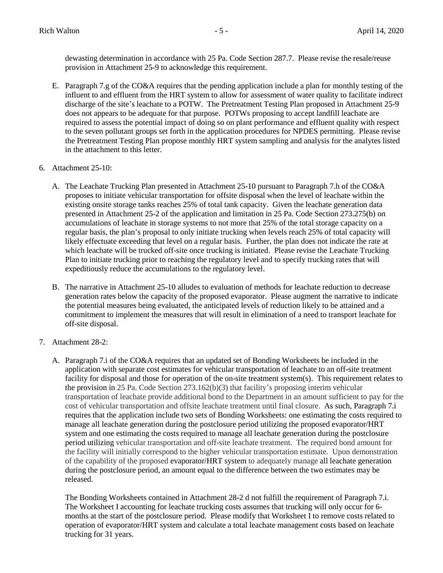dewasting determination in accordance with 25 Pa. Code Section 287.7. Please revise the resale/reuse provision in Attachment 25-9 to acknowledge this requirement.

- E. Paragraph 7.g of the CO&A requires that the pending application include a plan for monthly testing of the influent to and effluent from the HRT system to allow for assessment of water quality to facilitate indirect discharge of the site's leachate to a POTW. The Pretreatment Testing Plan proposed in Attachment 25-9 does not appears to be adequate for that purpose. POTWs proposing to accept landfill leachate are required to assess the potential impact of doing so on plant performance and effluent quality with respect to the seven pollutant groups set forth in the application procedures for NPDES permitting. Please revise the Pretreatment Testing Plan propose monthly HRT system sampling and analysis for the analytes listed in the attachment to this letter.
- 6. Attachment 25-10:
	- A. The Leachate Trucking Plan presented in Attachment 25-10 pursuant to Paragraph 7.h of the CO&A proposes to initiate vehicular transportation for offsite disposal when the level of leachate within the existing onsite storage tanks reaches 25% of total tank capacity. Given the leachate generation data presented in Attachment 25-2 of the application and limitation in 25 Pa. Code Section 273.275(b) on accumulations of leachate in storage systems to not more that 25% of the total storage capacity on a regular basis, the plan's proposal to only initiate trucking when levels reach 25% of total capacity will likely effectuate exceeding that level on a regular basis. Further, the plan does not indicate the rate at which leachate will be trucked off-site once trucking is initiated. Please revise the Leachate Trucking Plan to initiate trucking prior to reaching the regulatory level and to specify trucking rates that will expeditiously reduce the accumulations to the regulatory level.
	- B. The narrative in Attachment 25-10 alludes to evaluation of methods for leachate reduction to decrease generation rates below the capacity of the proposed evaporator. Please augment the narrative to indicate the potential measures being evaluated, the anticipated levels of reduction likely to be attained and a commitment to implement the measures that will result in elimination of a need to transport leachate for off-site disposal.
- 7. Attachment 28-2:
	- A. Paragraph 7.i of the CO&A requires that an updated set of Bonding Worksheets be included in the application with separate cost estimates for vehicular transportation of leachate to an off-site treatment facility for disposal and those for operation of the on-site treatment system(s). This requirement relates to the provision in 25 Pa. Code Section 273.162(b)(3) that facility's proposing interim vehicular transportation of leachate provide additional bond to the Department in an amount sufficient to pay for the cost of vehicular transportation and offsite leachate treatment until final closure. As such, Paragraph 7.i requires that the application include two sets of Bonding Worksheets: one estimating the costs required to manage all leachate generation during the postclosure period utilizing the proposed evaporator/HRT system and one estimating the costs required to manage all leachate generation during the postclosure period utilizing vehicular transportation and off-site leachate treatment. The required bond amount for the facility will initially correspond to the higher vehicular transportation estimate. Upon demonstration of the capability of the proposed evaporator/HRT system to adequately manage all leachate generation during the postclosure period, an amount equal to the difference between the two estimates may be released.

The Bonding Worksheets contained in Attachment 28-2 d not fulfill the requirement of Paragraph 7.i. The Worksheet I accounting for leachate trucking costs assumes that trucking will only occur for 6 months at the start of the postclosure period. Please modify that Worksheet I to remove costs related to operation of evaporator/HRT system and calculate a total leachate management costs based on leachate trucking for 31 years.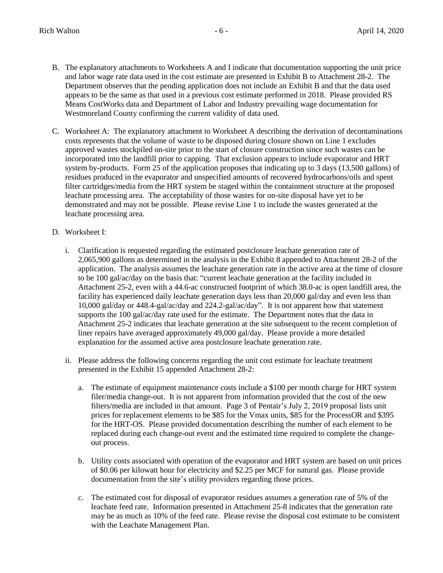- B. The explanatory attachments to Worksheets A and I indicate that documentation supporting the unit price and labor wage rate data used in the cost estimate are presented in Exhibit B to Attachment 28-2. The Department observes that the pending application does not include an Exhibit B and that the data used appears to be the same as that used in a previous cost estimate performed in 2018. Please provided RS Means CostWorks data and Department of Labor and Industry prevailing wage documentation for Westmoreland County confirming the current validity of data used.
- C. Worksheet A: The explanatory attachment to Worksheet A describing the derivation of decontaminations costs represents that the volume of waste to be disposed during closure shown on Line 1 excludes approved wastes stockpiled on-site prior to the start of closure construction since such wastes can be incorporated into the landfill prior to capping. That exclusion appears to include evaporator and HRT system by-products. Form 25 of the application proposes that indicating up to 3 days (13,500 gallons) of residues produced in the evaporator and unspecified amounts of recovered hydrocarbons/oils and spent filter cartridges/media from the HRT system be staged within the containment structure at the proposed leachate processing area. The acceptability of those wastes for on-site disposal have yet to be demonstrated and may not be possible. Please revise Line 1 to include the wastes generated at the leachate processing area.
- D. Worksheet I:
	- i. Clarification is requested regarding the estimated postclosure leachate generation rate of 2,065,900 gallons as determined in the analysis in the Exhibit 8 appended to Attachment 28-2 of the application. The analysis assumes the leachate generation rate in the active area at the time of closure to be 100 gal/ac/day on the basis that: "current leachate generation at the facility included in Attachment 25-2, even with a 44.6-ac constructed footprint of which 38.0-ac is open landfill area, the facility has experienced daily leachate generation days less than 20,000 gal/day and even less than 10,000 gal/day or 448.4-gal/ac/day and 224.2-gal/ac/day". It is not apparent how that statement supports the 100 gal/ac/day rate used for the estimate. The Department notes that the data in Attachment 25-2 indicates that leachate generation at the site subsequent to the recent completion of liner repairs have averaged approximately 49,000 gal/day. Please provide a more detailed explanation for the assumed active area postclosure leachate generation rate.
	- ii. Please address the following concerns regarding the unit cost estimate for leachate treatment presented in the Exhibit 15 appended Attachment 28-2:
		- a. The estimate of equipment maintenance costs include a \$100 per month charge for HRT system filer/media change-out. It is not apparent from information provided that the cost of the new filters/media are included in that amount. Page 3 of Pentair's July 2, 2019 proposal lists unit prices for replacement elements to be \$85 for the Vmax units, \$85 for the ProcessOR and \$395 for the HRT-OS. Please provided documentation describing the number of each element to be replaced during each change-out event and the estimated time required to complete the changeout process.
		- b. Utility costs associated with operation of the evaporator and HRT system are based on unit prices of \$0.06 per kilowatt hour for electricity and \$2.25 per MCF for natural gas. Please provide documentation from the site's utility providers regarding those prices.
		- c. The estimated cost for disposal of evaporator residues assumes a generation rate of 5% of the leachate feed rate. Information presented in Attachment 25-8 indicates that the generation rate may be as much as 10% of the feed rate. Please revise the disposal cost estimate to be consistent with the Leachate Management Plan.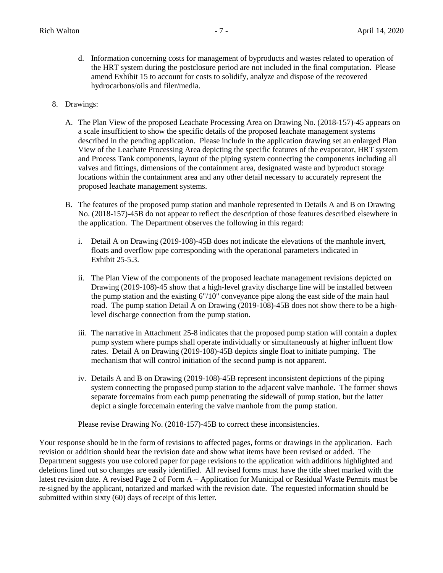- d. Information concerning costs for management of byproducts and wastes related to operation of the HRT system during the postclosure period are not included in the final computation. Please amend Exhibit 15 to account for costs to solidify, analyze and dispose of the recovered hydrocarbons/oils and filer/media.
- 8. Drawings:
	- A. The Plan View of the proposed Leachate Processing Area on Drawing No. (2018-157)-45 appears on a scale insufficient to show the specific details of the proposed leachate management systems described in the pending application. Please include in the application drawing set an enlarged Plan View of the Leachate Processing Area depicting the specific features of the evaporator, HRT system and Process Tank components, layout of the piping system connecting the components including all valves and fittings, dimensions of the containment area, designated waste and byproduct storage locations within the containment area and any other detail necessary to accurately represent the proposed leachate management systems.
	- B. The features of the proposed pump station and manhole represented in Details A and B on Drawing No. (2018-157)-45B do not appear to reflect the description of those features described elsewhere in the application. The Department observes the following in this regard:
		- i. Detail A on Drawing (2019-108)-45B does not indicate the elevations of the manhole invert, floats and overflow pipe corresponding with the operational parameters indicated in Exhibit 25-5.3.
		- ii. The Plan View of the components of the proposed leachate management revisions depicted on Drawing (2019-108)-45 show that a high-level gravity discharge line will be installed between the pump station and the existing 6"/10" conveyance pipe along the east side of the main haul road. The pump station Detail A on Drawing (2019-108)-45B does not show there to be a highlevel discharge connection from the pump station.
		- iii. The narrative in Attachment 25-8 indicates that the proposed pump station will contain a duplex pump system where pumps shall operate individually or simultaneously at higher influent flow rates. Detail A on Drawing (2019-108)-45B depicts single float to initiate pumping. The mechanism that will control initiation of the second pump is not apparent.
		- iv. Details A and B on Drawing (2019-108)-45B represent inconsistent depictions of the piping system connecting the proposed pump station to the adjacent valve manhole. The former shows separate forcemains from each pump penetrating the sidewall of pump station, but the latter depict a single forccemain entering the valve manhole from the pump station.

Please revise Drawing No. (2018-157)-45B to correct these inconsistencies.

Your response should be in the form of revisions to affected pages, forms or drawings in the application. Each revision or addition should bear the revision date and show what items have been revised or added. The Department suggests you use colored paper for page revisions to the application with additions highlighted and deletions lined out so changes are easily identified. All revised forms must have the title sheet marked with the latest revision date. A revised Page 2 of Form A – Application for Municipal or Residual Waste Permits must be re-signed by the applicant, notarized and marked with the revision date. The requested information should be submitted within sixty (60) days of receipt of this letter.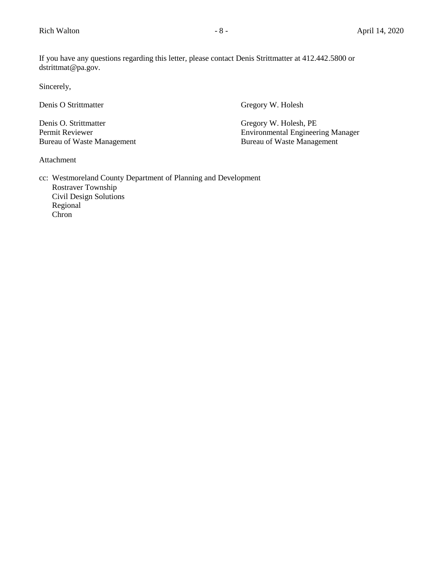If you have any questions regarding this letter, please contact Denis Strittmatter at 412.442.5800 or dstrittmat@pa.gov.

Sincerely,

Denis O Strittmatter Gregory W. Holesh

Denis O. Strittmatter Gregory W. Holesh, PE Bureau of Waste Management

Permit Reviewer Environmental Engineering Manager<br>Bureau of Waste Management Bureau of Waste Management

Attachment

cc: Westmoreland County Department of Planning and Development Rostraver Township Civil Design Solutions Regional Chron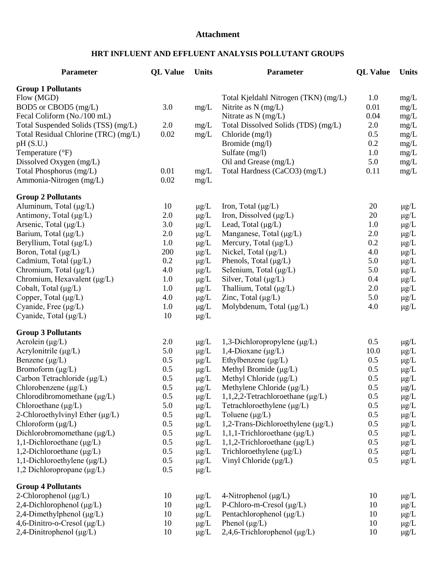### **Attachment**

# **HRT INFLUENT AND EFFLUENT ANALYSIS POLLUTANT GROUPS**

| Parameter                            | <b>QL Value</b> | <b>Units</b> | <b>Parameter</b>                       | <b>QL</b> Value | <b>Units</b> |
|--------------------------------------|-----------------|--------------|----------------------------------------|-----------------|--------------|
| <b>Group 1 Pollutants</b>            |                 |              |                                        |                 |              |
| Flow (MGD)                           |                 |              | Total Kjeldahl Nitrogen (TKN) (mg/L)   | 1.0             | mg/L         |
| BOD5 or CBOD5 (mg/L)                 | 3.0             | mg/L         | Nitrite as $N$ (mg/L)                  | 0.01            | mg/L         |
| Fecal Coliform (No./100 mL)          |                 |              | Nitrate as $N$ (mg/L)                  | 0.04            | mg/L         |
| Total Suspended Solids (TSS) (mg/L)  | 2.0             | mg/L         | Total Dissolved Solids (TDS) (mg/L)    | 2.0             | mg/L         |
| Total Residual Chlorine (TRC) (mg/L) | 0.02            | mg/L         | Chloride $(mg/l)$                      | 0.5             | mg/L         |
| pH(S.U.)                             |                 |              | Bromide (mg/l)                         | 0.2             | mg/L         |
| Temperature (°F)                     |                 |              | Sulfate (mg/l)                         | 1.0             | mg/L         |
| Dissolved Oxygen (mg/L)              |                 |              | Oil and Grease (mg/L)                  | 5.0             | mg/L         |
| Total Phosphorus (mg/L)              | 0.01            | $mg/L$       | Total Hardness (CaCO3) (mg/L)          | 0.11            | mg/L         |
| Ammonia-Nitrogen (mg/L)              | 0.02            | mg/L         |                                        |                 |              |
| <b>Group 2 Pollutants</b>            |                 |              |                                        |                 |              |
| Aluminum, Total (μg/L)               | 10              | $\mu g/L$    | Iron, Total $(\mu g/L)$                | 20              | $\mu$ g/L    |
| Antimony, Total $(\mu g/L)$          | 2.0             | $\mu$ g/L    | Iron, Dissolved $(\mu g/L)$            | 20              | $\mu$ g/L    |
| Arsenic, Total $(\mu g/L)$           | 3.0             | $\mu$ g/L    | Lead, Total $(\mu g/L)$                | 1.0             | $\mu$ g/L    |
| Barium, Total (µg/L)                 | 2.0             | $\mu$ g/L    | Manganese, Total $(\mu g/L)$           | 2.0             | $\mu$ g/L    |
| Beryllium, Total (µg/L)              | 1.0             | $\mu$ g/L    | Mercury, Total (µg/L)                  | 0.2             | $\mu$ g/L    |
| Boron, Total (µg/L)                  | 200             | $\mu$ g/L    | Nickel, Total $(\mu g/L)$              | 4.0             | $\mu$ g/L    |
| Cadmium, Total $(\mu g/L)$           | 0.2             | $\mu g/L$    | Phenols, Total $(\mu g/L)$             | 5.0             | $\mu$ g/L    |
| Chromium, Total (µg/L)               | 4.0             | $\mu g/L$    | Selenium, Total (µg/L)                 | 5.0             | $\mu$ g/L    |
| Chromium, Hexavalent $(\mu g/L)$     | 1.0             | $\mu g/L$    | Silver, Total $(\mu g/L)$              | 0.4             | $\mu$ g/L    |
| Cobalt, Total $(\mu g/L)$            | 1.0             | $\mu g/L$    | Thallium, Total $(\mu g/L)$            | 2.0             | $\mu$ g/L    |
| Copper, Total $(\mu g/L)$            | 4.0             | $\mu$ g/L    | Zinc, Total $(\mu g/L)$                | 5.0             | $\mu$ g/L    |
| Cyanide, Free $(\mu g/L)$            | 1.0             | $\mu$ g/L    | Molybdenum, Total $(\mu g/L)$          | 4.0             | $\mu$ g/L    |
| Cyanide, Total (µg/L)                | 10              | $\mu g/L$    |                                        |                 |              |
| <b>Group 3 Pollutants</b>            |                 |              |                                        |                 |              |
| Acrolein $(\mu g/L)$                 | 2.0             | $\mu g/L$    | 1,3-Dichloropropylene $(\mu g/L)$      | 0.5             | $\mu$ g/L    |
| Acrylonitrile $(\mu g/L)$            | 5.0             | $\mu$ g/L    | 1,4-Dioxane $(\mu g/L)$                | 10.0            | $\mu$ g/L    |
| Benzene $(\mu g/L)$                  | 0.5             | $\mu g/L$    | Ethylbenzene $(\mu g/L)$               | 0.5             | $\mu$ g/L    |
| Bromoform $(\mu g/L)$                | 0.5             | $\mu$ g/L    | Methyl Bromide $(\mu g/L)$             | 0.5             | $\mu$ g/L    |
| Carbon Tetrachloride (µg/L)          | 0.5             | $\mu g/L$    | Methyl Chloride $(\mu g/L)$            | 0.5             | $\mu$ g/L    |
| Chlorobenzene $(\mu g/L)$            | 0.5             | $\mu g/L$    | Methylene Chloride (µg/L)              | 0.5             | $\mu$ g/L    |
| Chlorodibromomethane $(\mu g/L)$     | 0.5             | $\mu g/L$    | 1,1,2,2-Tetrachloroethane $(\mu g/L)$  | 0.5             | $\mu$ g/L    |
| Chloroethane $(\mu g/L)$             | 5.0             | $\mu g/L$    | Tetrachloroethylene $(\mu g/L)$        | 0.5             | $\mu$ g/L    |
| 2-Chloroethylvinyl Ether $(\mu g/L)$ | 0.5             | $\mu$ g/L    | Toluene $(\mu g/L)$                    | 0.5             | $\mu$ g/L    |
| Chloroform $(\mu g/L)$               | 0.5             | $\mu$ g/L    | 1,2-Trans-Dichloroethylene $(\mu g/L)$ | 0.5             | $\mu$ g/L    |
| Dichlorobromomethane (µg/L)          | 0.5             | $\mu$ g/L    | $1,1,1$ -Trichloroethane ( $\mu$ g/L)  | 0.5             | $\mu$ g/L    |
| 1,1-Dichloroethane $(\mu g/L)$       | 0.5             | $\mu g/L$    | 1,1,2-Trichloroethane $(\mu g/L)$      | 0.5             | $\mu$ g/L    |
| 1,2-Dichloroethane $(\mu g/L)$       | 0.5             | $\mu g/L$    | Trichloroethylene $(\mu g/L)$          | 0.5             | $\mu$ g/L    |
| 1,1-Dichloroethylene $(\mu g/L)$     | 0.5             | $\mu g/L$    | Vinyl Chloride $(\mu g/L)$             | 0.5             | $\mu$ g/L    |
| 1,2 Dichloropropane $(\mu g/L)$      | 0.5             | $\mu g/L$    |                                        |                 |              |
| <b>Group 4 Pollutants</b>            |                 |              |                                        |                 |              |
| 2-Chlorophenol $(\mu g/L)$           | 10              | $\mu$ g/L    | 4-Nitrophenol $(\mu g/L)$              | 10              | $\mu$ g/L    |
| 2,4-Dichlorophenol $(\mu g/L)$       | 10              | $\mu$ g/L    | P-Chloro-m-Cresol $(\mu g/L)$          | 10              | $\mu$ g/L    |
| 2,4-Dimethylphenol (µg/L)            | 10              | $\mu g/L$    | Pentachlorophenol $(\mu g/L)$          | 10              | $\mu$ g/L    |
| 4,6-Dinitro-o-Cresol (µg/L)          | 10              | $\mu$ g/L    | Phenol $(\mu g/L)$                     | 10              | $\mu$ g/L    |
| $2,4$ -Dinitrophenol ( $\mu$ g/L)    | 10              | $\mu$ g/L    | 2,4,6-Trichlorophenol ( $\mu$ g/L)     | 10              | $\mu$ g/L    |